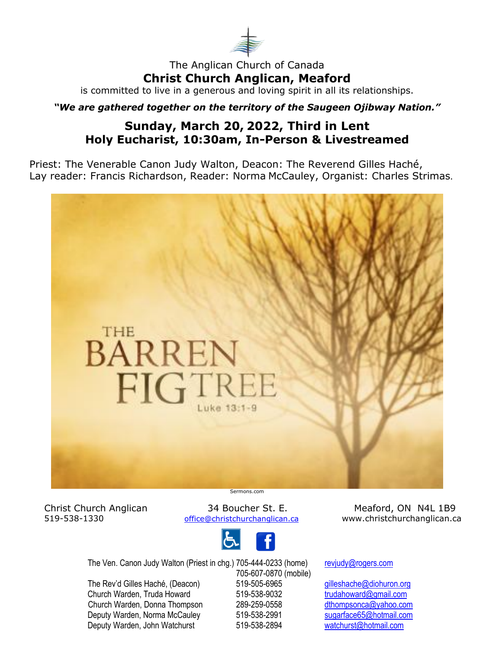

The Anglican Church of Canada **Christ Church Anglican, Meaford**

is committed to live in a generous and loving spirit in all its relationships.

*"We are gathered together on the territory of the Saugeen Ojibway Nation."*

# **Sunday, March 20, 2022, Third in Lent Holy Eucharist, 10:30am, In-Person & Livestreamed**

Priest: The Venerable Canon Judy Walton, Deacon: The Reverend Gilles Haché, Lay reader: Francis Richardson, Reader: Norma McCauley, Organist: Charles Strimas.





Christ Church Anglican 34 Boucher St. E. Meaford, ON N4L 1B9 519-538-1330 [office@christchurchanglican.ca](mailto:office@christchurchanglican.ca) www.christchurchanglican.ca

The Ven. Canon Judy Walton (Priest in chg.) 705-444-0233 (home) [revjudy@rogers.com](mailto:revjudy@rogers.com)

The Rev'd Gilles Haché, (Deacon)  $519-505-6965$  [gilleshache@diohuron.org](../gilleshache@diohuron.org)<br>Church Warden. Truda Howard 519-538-9032 trudahoward@amail.com Church Warden, Truda Howard 519-538-9032 Church Warden, Donna Thompson and 289-259-0558 [dthompsonca@yahoo.com](../dthompsonca@yahoo.com)<br>
Deputy Warden, Norma McCauley and 519-538-2991 between the sugarface65@hotmail.com Deputy Warden, Norma McCauley 519-538-2991 Deputy Warden, John Watchurst 519-538-2894 [watchurst@hotmail.com](../watchurst@hotmail.com)

705-607-0870 (mobile)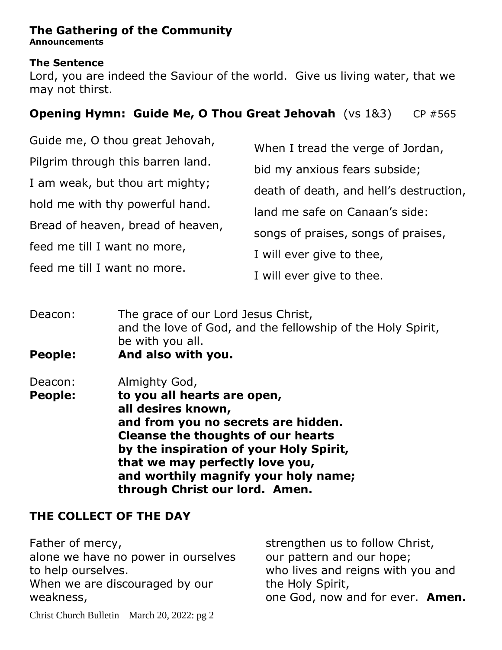#### **The Gathering of the Community Announcements**

#### **The Sentence**

Lord, you are indeed the Saviour of the world. Give us living water, that we may not thirst.

# **Opening Hymn: Guide Me, O Thou Great Jehovah** (vs 1&3) CP #565

Guide me, O thou great Jehovah, Pilgrim through this barren land. I am weak, but thou art mighty; hold me with thy powerful hand. Bread of heaven, bread of heaven, feed me till I want no more, feed me till I want no more. When I tread the verge of Jordan, bid my anxious fears subside; death of death, and hell's destruction, land me safe on Canaan's side: songs of praises, songs of praises, I will ever give to thee, I will ever give to thee.

| Deacon:        | The grace of our Lord Jesus Christ,<br>and the love of God, and the fellowship of the Holy Spirit,<br>be with you all. |
|----------------|------------------------------------------------------------------------------------------------------------------------|
| <b>People:</b> | And also with you.                                                                                                     |
| Deacon:        | Almighty God.                                                                                                          |

Almighty God, **People: to you all hearts are open, all desires known, and from you no secrets are hidden. Cleanse the thoughts of our hearts by the inspiration of your Holy Spirit, that we may perfectly love you, and worthily magnify your holy name; through Christ our lord. Amen.** 

# **THE COLLECT OF THE DAY**

| Father of mercy,                              | strengthen us to follow Christ,   |
|-----------------------------------------------|-----------------------------------|
| alone we have no power in ourselves           | our pattern and our hope;         |
| to help ourselves.                            | who lives and reigns with you and |
| When we are discouraged by our                | the Holy Spirit,                  |
| weakness,                                     | one God, now and for ever. Amen.  |
| Christ Church Bulletin – March 20, 2022: pg 2 |                                   |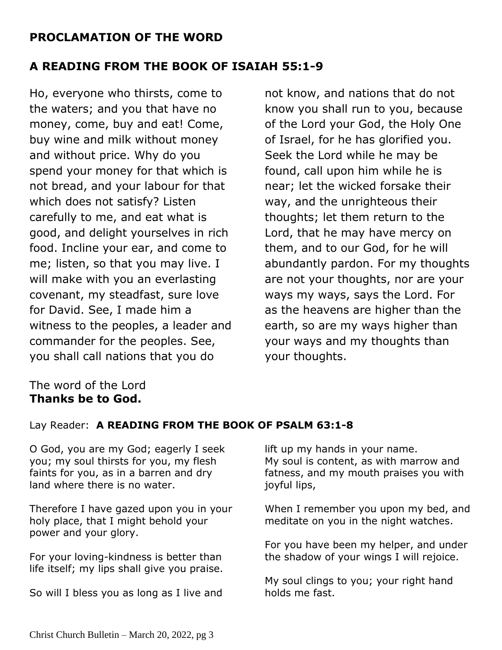# **PROCLAMATION OF THE WORD**

# **A READING FROM THE BOOK OF ISAIAH 55:1-9**

Ho, everyone who thirsts, come to the waters; and you that have no money, come, buy and eat! Come, buy wine and milk without money and without price. Why do you spend your money for that which is not bread, and your labour for that which does not satisfy? Listen carefully to me, and eat what is good, and delight yourselves in rich food. Incline your ear, and come to me; listen, so that you may live. I will make with you an everlasting covenant, my steadfast, sure love for David. See, I made him a witness to the peoples, a leader and commander for the peoples. See, you shall call nations that you do

not know, and nations that do not know you shall run to you, because of the Lord your God, the Holy One of Israel, for he has glorified you. Seek the Lord while he may be found, call upon him while he is near; let the wicked forsake their way, and the unrighteous their thoughts; let them return to the Lord, that he may have mercy on them, and to our God, for he will abundantly pardon. For my thoughts are not your thoughts, nor are your ways my ways, says the Lord. For as the heavens are higher than the earth, so are my ways higher than your ways and my thoughts than your thoughts.

# The word of the Lord **Thanks be to God.**

#### Lay Reader: **A READING FROM THE BOOK OF PSALM 63:1-8**

O God, you are my God; eagerly I seek you; my soul thirsts for you, my flesh faints for you, as in a barren and dry land where there is no water.

Therefore I have gazed upon you in your holy place, that I might behold your power and your glory.

For your loving-kindness is better than life itself; my lips shall give you praise.

So will I bless you as long as I live and

lift up my hands in your name. My soul is content, as with marrow and fatness, and my mouth praises you with joyful lips,

When I remember you upon my bed, and meditate on you in the night watches.

For you have been my helper, and under the shadow of your wings I will rejoice.

My soul clings to you; your right hand holds me fast.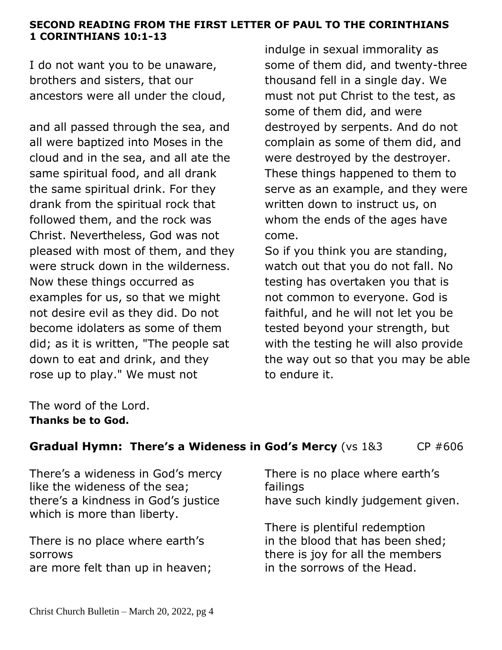#### **SECOND READING FROM THE FIRST LETTER OF PAUL TO THE CORINTHIANS 1 CORINTHIANS 10:1-13**

I do not want you to be unaware, brothers and sisters, that our ancestors were all under the cloud,

and all passed through the sea, and all were baptized into Moses in the cloud and in the sea, and all ate the same spiritual food, and all drank the same spiritual drink. For they drank from the spiritual rock that followed them, and the rock was Christ. Nevertheless, God was not pleased with most of them, and they were struck down in the wilderness. Now these things occurred as examples for us, so that we might not desire evil as they did. Do not become idolaters as some of them did; as it is written, "The people sat down to eat and drink, and they rose up to play." We must not

indulge in sexual immorality as some of them did, and twenty-three thousand fell in a single day. We must not put Christ to the test, as some of them did, and were destroyed by serpents. And do not complain as some of them did, and were destroyed by the destroyer. These things happened to them to serve as an example, and they were written down to instruct us, on whom the ends of the ages have come.

So if you think you are standing, watch out that you do not fall. No testing has overtaken you that is not common to everyone. God is faithful, and he will not let you be tested beyond your strength, but with the testing he will also provide the way out so that you may be able to endure it.

The word of the Lord. **Thanks be to God.**

# **Gradual Hymn: There's a Wideness in God's Mercy** (vs 1&3 CP #606

There's a wideness in God's mercy like the wideness of the sea; there's a kindness in God's justice which is more than liberty.

There is no place where earth's sorrows are more felt than up in heaven; There is no place where earth's failings have such kindly judgement given.

There is plentiful redemption in the blood that has been shed; there is joy for all the members in the sorrows of the Head.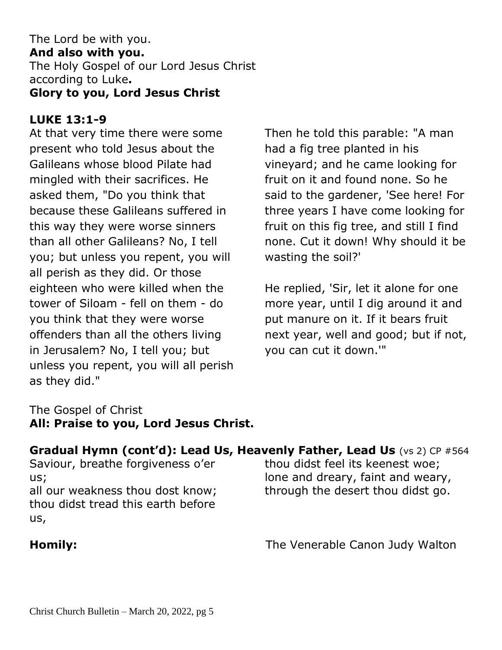#### The Lord be with you. **And also with you.** The Holy Gospel of our Lord Jesus Christ according to Luke**. Glory to you, Lord Jesus Christ**

# **LUKE 13:1-9**

At that very time there were some present who told Jesus about the Galileans whose blood Pilate had mingled with their sacrifices. He asked them, "Do you think that because these Galileans suffered in this way they were worse sinners than all other Galileans? No, I tell you; but unless you repent, you will all perish as they did. Or those eighteen who were killed when the tower of Siloam - fell on them - do you think that they were worse offenders than all the others living in Jerusalem? No, I tell you; but unless you repent, you will all perish as they did."

Then he told this parable: "A man had a fig tree planted in his vineyard; and he came looking for fruit on it and found none. So he said to the gardener, 'See here! For three years I have come looking for fruit on this fig tree, and still I find none. Cut it down! Why should it be wasting the soil?'

He replied, 'Sir, let it alone for one more year, until I dig around it and put manure on it. If it bears fruit next year, well and good; but if not, you can cut it down.'"

### The Gospel of Christ **All: Praise to you, Lord Jesus Christ.**

**Gradual Hymn (cont'd): Lead Us, Heavenly Father, Lead Us** (vs 2) CP #564 Saviour, breathe forgiveness o'er us; all our weakness thou dost know; thou didst tread this earth before us, thou didst feel its keenest woe; lone and dreary, faint and weary, through the desert thou didst go.

**Homily:** The Venerable Canon Judy Walton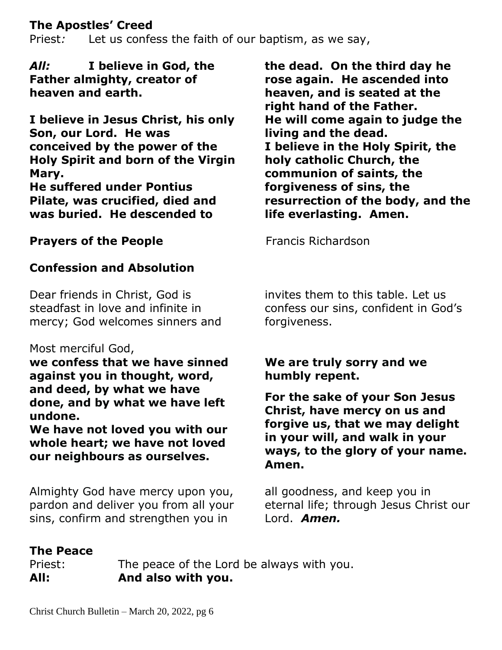# **The Apostles' Creed**

Priest*:* Let us confess the faith of our baptism, as we say,

*All:* **I believe in God, the Father almighty, creator of heaven and earth.**

**I believe in Jesus Christ, his only Son, our Lord. He was conceived by the power of the Holy Spirit and born of the Virgin Mary. He suffered under Pontius Pilate, was crucified, died and was buried. He descended to** 

**Prayers of the People** Francis Richardson

# **Confession and Absolution**

Dear friends in Christ, God is steadfast in love and infinite in mercy; God welcomes sinners and

#### Most merciful God,

**we confess that we have sinned against you in thought, word, and deed, by what we have done, and by what we have left undone.**

**We have not loved you with our whole heart; we have not loved our neighbours as ourselves.** 

Almighty God have mercy upon you, pardon and deliver you from all your sins, confirm and strengthen you in

**the dead. On the third day he rose again. He ascended into heaven, and is seated at the right hand of the Father. He will come again to judge the living and the dead. I believe in the Holy Spirit, the holy catholic Church, the communion of saints, the forgiveness of sins, the resurrection of the body, and the life everlasting. Amen.** 

invites them to this table. Let us confess our sins, confident in God's forgiveness.

### **We are truly sorry and we humbly repent.**

**For the sake of your Son Jesus Christ, have mercy on us and forgive us, that we may delight in your will, and walk in your ways, to the glory of your name. Amen.** 

all goodness, and keep you in eternal life; through Jesus Christ our Lord. *Amen.*

# **The Peace**

Priest: The peace of the Lord be always with you. **All: And also with you.**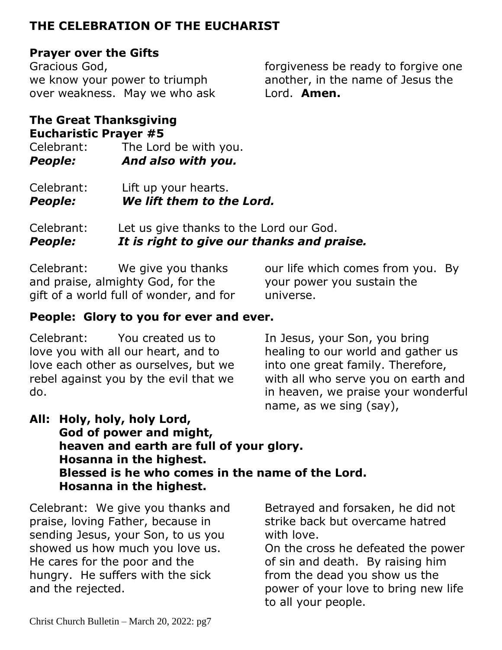# **THE CELEBRATION OF THE EUCHARIST**

# **Prayer over the Gifts**

Gracious God, we know your power to triumph over weakness. May we who ask forgiveness be ready to forgive one another, in the name of Jesus the Lord. **Amen.**

# **The Great Thanksgiving**

**Eucharistic Prayer #5**

Celebrant: The Lord be with you. *People: And also with you.* 

Celebrant: Lift up your hearts. *People: We lift them to the Lord.* 

Celebrant: Let us give thanks to the Lord our God. *People: It is right to give our thanks and praise.*

Celebrant: We give you thanks and praise, almighty God, for the gift of a world full of wonder, and for our life which comes from you. By your power you sustain the universe.

# **People: Glory to you for ever and ever.**

Celebrant: You created us to love you with all our heart, and to love each other as ourselves, but we rebel against you by the evil that we do.

In Jesus, your Son, you bring healing to our world and gather us into one great family. Therefore, with all who serve you on earth and in heaven, we praise your wonderful name, as we sing (say),

#### **All: Holy, holy, holy Lord, God of power and might, heaven and earth are full of your glory. Hosanna in the highest. Blessed is he who comes in the name of the Lord. Hosanna in the highest.**

Celebrant: We give you thanks and praise, loving Father, because in sending Jesus, your Son, to us you showed us how much you love us. He cares for the poor and the hungry. He suffers with the sick and the rejected.

Betrayed and forsaken, he did not strike back but overcame hatred with love.

On the cross he defeated the power of sin and death. By raising him from the dead you show us the power of your love to bring new life to all your people.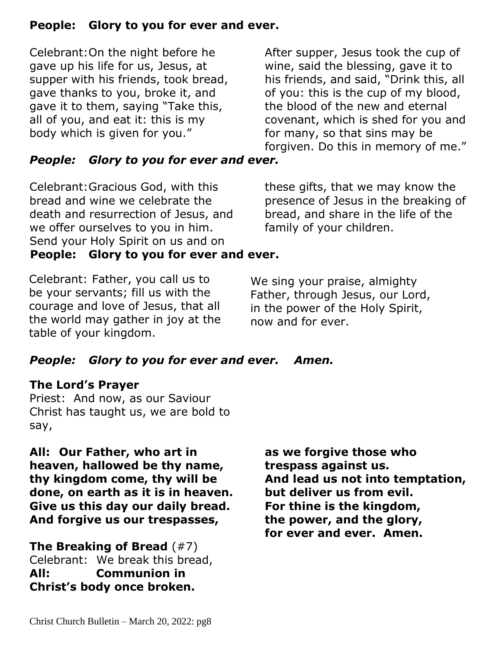# **People: Glory to you for ever and ever.**

Celebrant:On the night before he gave up his life for us, Jesus, at supper with his friends, took bread, gave thanks to you, broke it, and gave it to them, saying "Take this, all of you, and eat it: this is my body which is given for you."

After supper, Jesus took the cup of wine, said the blessing, gave it to his friends, and said, "Drink this, all of you: this is the cup of my blood, the blood of the new and eternal covenant, which is shed for you and for many, so that sins may be forgiven. Do this in memory of me."

# *People: Glory to you for ever and ever.*

Celebrant:Gracious God, with this bread and wine we celebrate the death and resurrection of Jesus, and we offer ourselves to you in him. Send your Holy Spirit on us and on

these gifts, that we may know the presence of Jesus in the breaking of bread, and share in the life of the family of your children.

# **People: Glory to you for ever and ever.**

Celebrant: Father, you call us to be your servants; fill us with the courage and love of Jesus, that all the world may gather in joy at the table of your kingdom.

We sing your praise, almighty Father, through Jesus, our Lord, in the power of the Holy Spirit, now and for ever.

# *People: Glory to you for ever and ever. Amen.*

# **The Lord's Prayer**

Priest: And now, as our Saviour Christ has taught us, we are bold to say,

**All: Our Father, who art in heaven, hallowed be thy name, thy kingdom come, thy will be done, on earth as it is in heaven. Give us this day our daily bread. And forgive us our trespasses,**

# **The Breaking of Bread** (#7)

Celebrant: We break this bread, **All: Communion in Christ's body once broken.**

**as we forgive those who trespass against us. And lead us not into temptation, but deliver us from evil. For thine is the kingdom, the power, and the glory, for ever and ever. Amen.**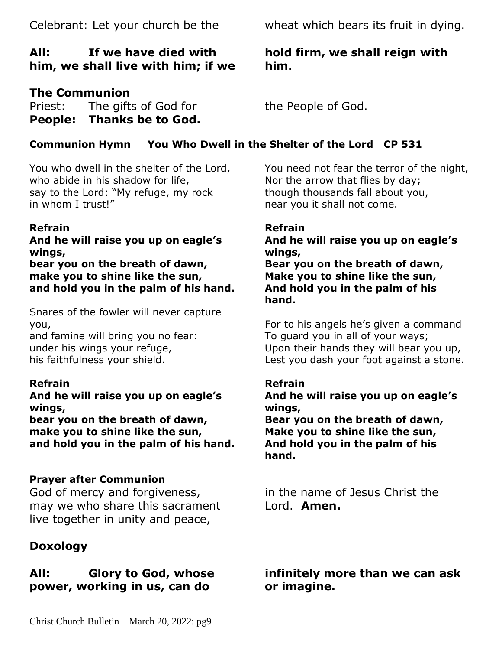# **All: If we have died with him, we shall live with him; if we**

# **The Communion**

Priest: The gifts of God for the People of God. **People: Thanks be to God.** 

# **Communion Hymn You Who Dwell in the Shelter of the Lord CP 531**

You who dwell in the shelter of the Lord, who abide in his shadow for life, say to the Lord: "My refuge, my rock in whom I trust!"

# **Refrain**

#### **And he will raise you up on eagle's wings,**

#### **bear you on the breath of dawn, make you to shine like the sun, and hold you in the palm of his hand.**

Snares of the fowler will never capture you,

and famine will bring you no fear: under his wings your refuge, his faithfulness your shield.

# **Refrain**

#### **And he will raise you up on eagle's wings,**

**bear you on the breath of dawn, make you to shine like the sun, and hold you in the palm of his hand.**

# **Prayer after Communion**

God of mercy and forgiveness, may we who share this sacrament live together in unity and peace,

# **Doxology**

# **All: Glory to God, whose power, working in us, can do**

You need not fear the terror of the night, Nor the arrow that flies by day; though thousands fall about you, near you it shall not come.

#### **Refrain**

#### **And he will raise you up on eagle's wings,**

**Bear you on the breath of dawn, Make you to shine like the sun, And hold you in the palm of his hand.**

For to his angels he's given a command To guard you in all of your ways; Upon their hands they will bear you up, Lest you dash your foot against a stone.

#### **Refrain**

#### **And he will raise you up on eagle's wings,**

**Bear you on the breath of dawn, Make you to shine like the sun, And hold you in the palm of his hand.**

in the name of Jesus Christ the Lord. **Amen.** 

# **infinitely more than we can ask or imagine.**

Celebrant: Let your church be the wheat which bears its fruit in dying.

# **hold firm, we shall reign with him.**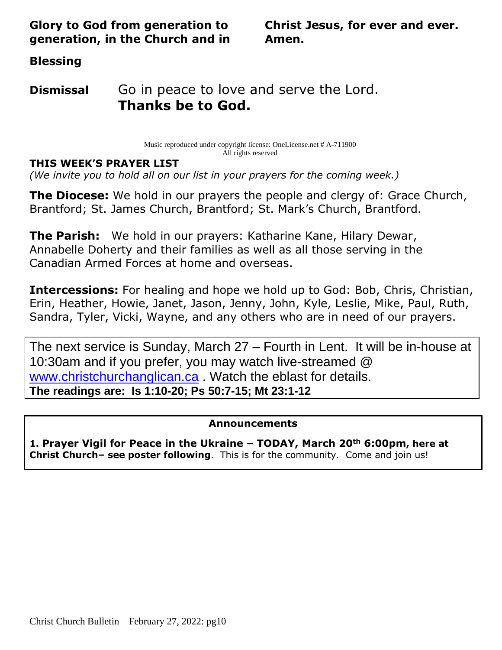# **Christ Jesus, for ever and ever. Amen.**

**Blessing**

# **Dismissal** Go in peace to love and serve the Lord. **Thanks be to God.**

Music reproduced under copyright license: OneLicense.net # A-711900 All rights reserved

#### **THIS WEEK'S PRAYER LIST**

*(We invite you to hold all on our list in your prayers for the coming week.)*

**The Diocese:** We hold in our prayers the people and clergy of: Grace Church, Brantford; St. James Church, Brantford; St. Mark's Church, Brantford.

**The Parish:** We hold in our prayers: Katharine Kane, Hilary Dewar, Annabelle Doherty and their families as well as all those serving in the Canadian Armed Forces at home and overseas.

**Intercessions:** For healing and hope we hold up to God: Bob, Chris, Christian, Erin, Heather, Howie, Janet, Jason, Jenny, John, Kyle, Leslie, Mike, Paul, Ruth, Sandra, Tyler, Vicki, Wayne, and any others who are in need of our prayers.

The next service is Sunday, March 27 – Fourth in Lent. It will be in-house at 10:30am and if you prefer, you may watch live-streamed @ [www.christchurchanglican.ca](http://www.christchurchanglican.ca/) . Watch the eblast for details. **The readings are: Is 1:10-20; Ps 50:7-15; Mt 23:1-12**

#### **Announcements**

**1. Prayer Vigil for Peace in the Ukraine – TODAY, March 20th 6:00pm, here at Christ Church– see poster following**. This is for the community. Come and join us!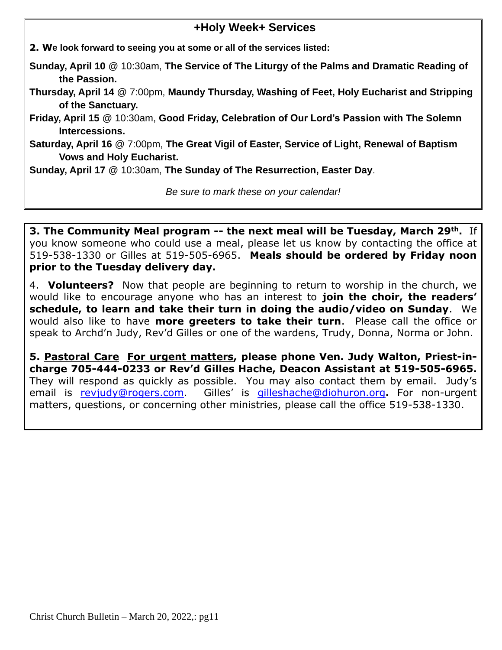#### **+Holy Week+ Services**

**2. We look forward to seeing you at some or all of the services listed:** 

**Sunday, April 10** @ 10:30am, **The Service of The Liturgy of the Palms and Dramatic Reading of the Passion.** 

**Thursday, April 14** @ 7:00pm, **Maundy Thursday, Washing of Feet, Holy Eucharist and Stripping of the Sanctuary.** 

**Friday, April 15** @ 10:30am, **Good Friday, Celebration of Our Lord's Passion with The Solemn Intercessions.** 

**Saturday, April 16** @ 7:00pm, **The Great Vigil of Easter, Service of Light, Renewal of Baptism Vows and Holy Eucharist.**

**Sunday, April 17** @ 10:30am, **The Sunday of The Resurrection, Easter Day**.

*Be sure to mark these on your calendar!*

**3. The Community Meal program -- the next meal will be Tuesday, March 29th.** If you know someone who could use a meal, please let us know by contacting the office at 519-538-1330 or Gilles at 519-505-6965. **Meals should be ordered by Friday noon prior to the Tuesday delivery day.** 

4. **Volunteers?** Now that people are beginning to return to worship in the church, we would like to encourage anyone who has an interest to **join the choir, the readers' schedule, to learn and take their turn in doing the audio/video on Sunday**. We would also like to have **more greeters to take their turn**. Please call the office or speak to Archd'n Judy, Rev'd Gilles or one of the wardens, Trudy, Donna, Norma or John.

**5. Pastoral Care For urgent matters, please phone Ven. Judy Walton, Priest-incharge 705-444-0233 or Rev'd Gilles Hache, Deacon Assistant at 519-505-6965.**  They will respond as quickly as possible. You may also contact them by email. Judy's email is [revjudy@rogers.com.](mailto:revjudy@rogers.com) Gilles' is [gilleshache@diohuron.org](mailto:gilleshache@diohuron.org)**.** For non-urgent matters, questions, or concerning other ministries, please call the office 519-538-1330.